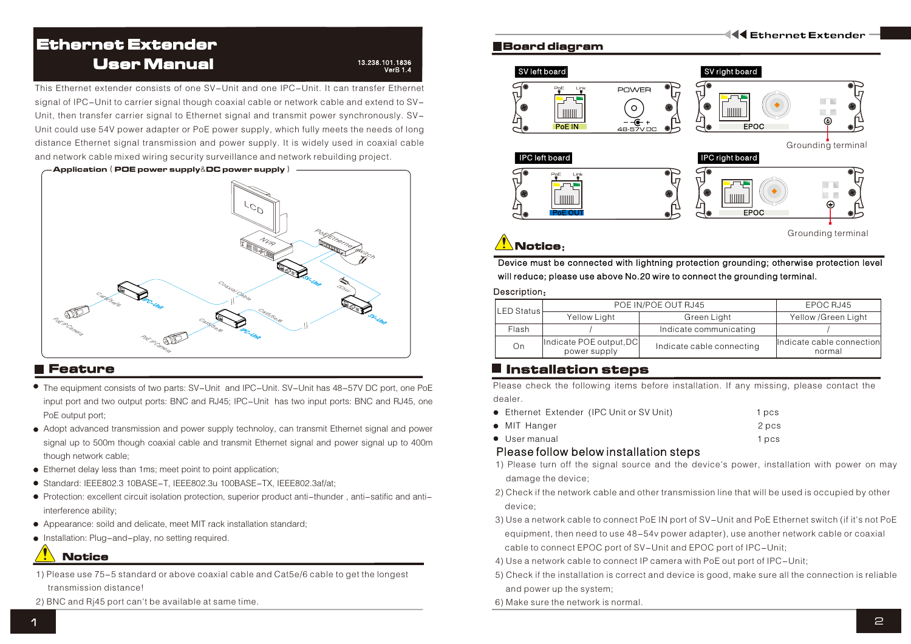# Ethernet Extender User Manual

#### 13.238.101.1836  $\sqrt{\text{erB} 1.4}$

This Ethernet extender consists of one SV-Unit and one IPC-Unit. It can transfer Ethernet signal of IPC-Unit to carrier signal though coaxial cable or network cable and extend to SV-Unit, then transfer carrier signal to Ethernet signal and transmit power synchronously. SV-Unit could use 54V power adapter or PoE power supply, which fully meets the needs of long distance Ethernet signal transmission and power supply. It is widely used in coaxial cable and network cable mixed wiring security surveillance and network rebuilding project.



## Feature

- The equipment consists of two parts: SV-Unit and IPC-Unit. SV-Unit has 48-57V DC port, one PoE input port and two output ports: BNC and RJ45; IPC-Unit has two input ports: BNC and RJ45, one PoE output port;
- Adopt advanced transmission and power supply technoloy, can transmit Ethernet signal and power signal up to 500m though coaxial cable and transmit Ethernet signal and power signal up to 400m though network cable;
- Ethernet delay less than 1ms; meet point to point application;
- Standard: IEEE802.3 10BASE-T, IEEE802.3u 100BASE-TX, IEEE802.3af/at;
- Protection: excellent circuit isolation protection, superior product anti-thunder , anti-satific and antiinterference ability;
- Appearance: soild and delicate, meet MIT rack installation standard;
- Installation: Plug-and-play, no setting required.

# **Notice**

- 1) Please use 75-5 standard or above coaxial cable and Cat5e/6 cable to get the longest transmission distance!
- 2) BNC and Rj45 port can't be available at same time.

### Board diagram



**K4 Ethernet Extender** 

# $\sqrt{\phantom{a}}$ Notice:

Device must be connected with lightning protection grounding; otherwise protection level will reduce; please use above No.20 wire to connect the grounding terminal.

#### Description:

| LED Status | POE IN/POE OUT RJ45                     | EPOC RJ45                 |                                      |  |
|------------|-----------------------------------------|---------------------------|--------------------------------------|--|
|            | Yellow Light                            | Green Light               | Yellow /Green Light                  |  |
| Flash      |                                         | Indicate communicating    |                                      |  |
| Οn         | Indicate POE output, DC<br>power supply | Indicate cable connecting | lindicate cable connection<br>normal |  |

# $\blacksquare$  Installation steps

Please check the following items before installation. If any missing, please contact the dealer.

- Ethernet Extender (IPC Unit or SV Unit) 1 pcs
- MIT Hanger 2 pcs
- User manual 1 pcs

### Please follow below installation steps

- 1) Please turn off the signal source and the device's power, installation with power on may damage the device;
- 2) Check if the network cable and other transmission line that will be used is occupied by other device;
- 3) Use a network cable to connect PoE IN port of SV-Unit and PoE Ethernet switch (if it's not PoE equipment, then need to use 48-54v power adapter), use another network cable or coaxial cable to connect EPOC port of SV-Unit and EPOC port of IPC-Unit;
- 4) Use a network cable to connect IP camera with PoE out port of IPC-Unit;
- 5) Check if the installation is correct and device is good, make sure all the connection is reliable and power up the system;
- 6) Make sure the network is normal.